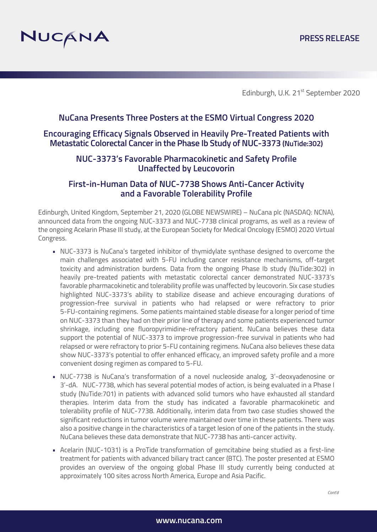

Edinburgh, U.K. 21<sup>st</sup> September 2020

# **NuCana Presents Three Posters at the ESMO Virtual Congress 2020**

## **Encouraging Efficacy Signals Observed in Heavily Pre-Treated Patients with Metastatic Colorectal Cancer in the Phase Ib Study of NUC-3373 (NuTide:302)**

## **NUC-3373's Favorable Pharmacokinetic and Safety Profile Unaffected by Leucovorin**

# **First-in-Human Data of NUC-7738 Shows Anti-Cancer Activity and a Favorable Tolerability Profile**

Edinburgh, United Kingdom, September 21, 2020 (GLOBE NEWSWIRE) – NuCana plc (NASDAQ: NCNA), announced data from the ongoing NUC-3373 and NUC-7738 clinical programs, as well as a review of the ongoing Acelarin Phase III study, at the European Society for Medical Oncology (ESMO) 2020 Virtual Congress.

- NUC-3373 is NuCana's targeted inhibitor of thymidylate synthase designed to overcome the main challenges associated with 5-FU including cancer resistance mechanisms, off-target toxicity and administration burdens. Data from the ongoing Phase Ib study (NuTide:302) in heavily pre-treated patients with metastatic colorectal cancer demonstrated NUC-3373's favorable pharmacokinetic and tolerability profile was unaffected by leucovorin. Six case studies highlighted NUC-3373's ability to stabilize disease and achieve encouraging durations of progression-free survival in patients who had relapsed or were refractory to prior 5-FU-containing regimens. Some patients maintained stable disease for a longer period of time on NUC-3373 than they had on their prior line of therapy and some patients experienced tumor shrinkage, including one fluoropyrimidine-refractory patient. NuCana believes these data support the potential of NUC-3373 to improve progression-free survival in patients who had relapsed or were refractory to prior 5-FU containing regimens. NuCana also believes these data show NUC-3373's potential to offer enhanced efficacy, an improved safety profile and a more convenient dosing regimen as compared to 5-FU.
- NUC-7738 is NuCana's transformation of a novel nucleoside analog, 3'-deoxyadenosine or 3'-dA. NUC-7738, which has several potential modes of action, is being evaluated in a Phase I study (NuTide:701) in patients with advanced solid tumors who have exhausted all standard therapies. Interim data from the study has indicated a favorable pharmacokinetic and tolerability profile of NUC-7738. Additionally, interim data from two case studies showed the significant reductions in tumor volume were maintained over time in these patients. There was also a positive change in the characteristics of a target lesion of one of the patients in the study. NuCana believes these data demonstrate that NUC-7738 has anti-cancer activity.
- Acelarin (NUC-1031) is a ProTide transformation of gemcitabine being studied as a first-line treatment for patients with advanced biliary tract cancer (BTC). The poster presented at ESMO provides an overview of the ongoing global Phase III study currently being conducted at approximately 100 sites across North America, Europe and Asia Pacific.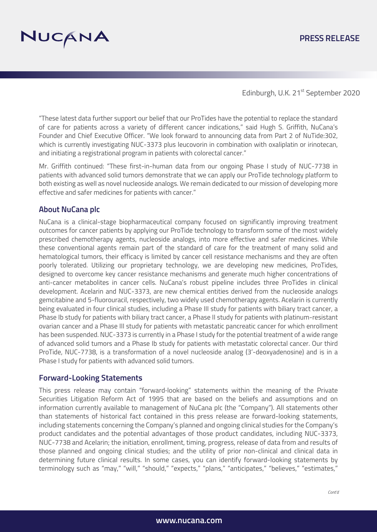

Edinburgh, U.K. 21<sup>st</sup> September 2020

"These latest data further support our belief that our ProTides have the potential to replace the standard of care for patients across a variety of different cancer indications," said Hugh S. Griffith, NuCana's Founder and Chief Executive Officer. "We look forward to announcing data from Part 2 of NuTide:302, which is currently investigating NUC-3373 plus leucovorin in combination with oxaliplatin or irinotecan, and initiating a registrational program in patients with colorectal cancer."

Mr. Griffith continued: "These first-in-human data from our ongoing Phase I study of NUC-7738 in patients with advanced solid tumors demonstrate that we can apply our ProTide technology platform to both existing as well as novel nucleoside analogs. We remain dedicated to our mission of developing more effective and safer medicines for patients with cancer."

### **About NuCana plc**

NuCana is a clinical-stage biopharmaceutical company focused on significantly improving treatment outcomes for cancer patients by applying our ProTide technology to transform some of the most widely prescribed chemotherapy agents, nucleoside analogs, into more effective and safer medicines. While these conventional agents remain part of the standard of care for the treatment of many solid and hematological tumors, their efficacy is limited by cancer cell resistance mechanisms and they are often poorly tolerated. Utilizing our proprietary technology, we are developing new medicines, ProTides, designed to overcome key cancer resistance mechanisms and generate much higher concentrations of anti-cancer metabolites in cancer cells. NuCana's robust pipeline includes three ProTides in clinical development. Acelarin and NUC-3373, are new chemical entities derived from the nucleoside analogs gemcitabine and 5-fluorouracil, respectively, two widely used chemotherapy agents. Acelarin is currently being evaluated in four clinical studies, including a Phase III study for patients with biliary tract cancer, a Phase Ib study for patients with biliary tract cancer, a Phase II study for patients with platinum-resistant ovarian cancer and a Phase III study for patients with metastatic pancreatic cancer for which enrollment has been suspended. NUC-3373 is currently in a Phase I study for the potential treatment of a wide range of advanced solid tumors and a Phase Ib study for patients with metastatic colorectal cancer. Our third ProTide, NUC-7738, is a transformation of a novel nucleoside analog (3'-deoxyadenosine) and is in a Phase I study for patients with advanced solid tumors.

#### **Forward-Looking Statements**

This press release may contain "forward-looking" statements within the meaning of the Private Securities Litigation Reform Act of 1995 that are based on the beliefs and assumptions and on information currently available to management of NuCana plc (the "Company"). All statements other than statements of historical fact contained in this press release are forward-looking statements, including statements concerning the Company's planned and ongoing clinical studies for the Company's product candidates and the potential advantages of those product candidates, including NUC-3373, NUC-7738 and Acelarin; the initiation, enrollment, timing, progress, release of data from and results of those planned and ongoing clinical studies; and the utility of prior non-clinical and clinical data in determining future clinical results. In some cases, you can identify forward-looking statements by terminology such as "may," "will," "should," "expects," "plans," "anticipates," "believes," "estimates,"